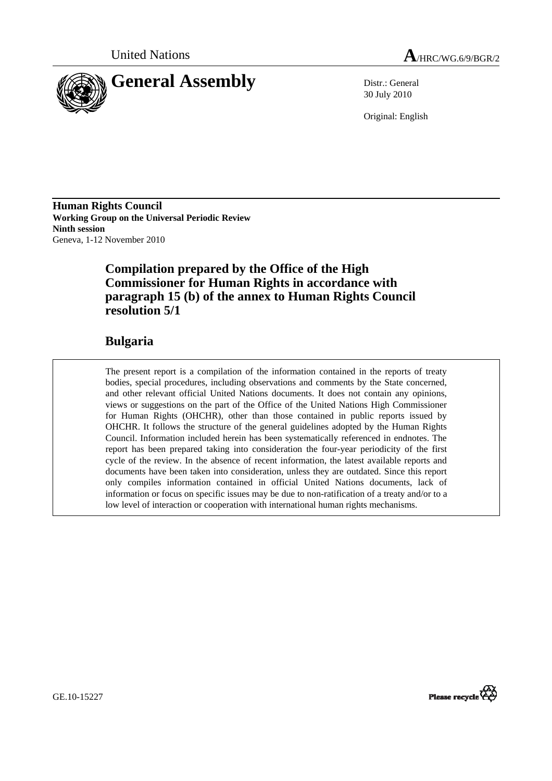



30 July 2010

Original: English

**Human Rights Council Working Group on the Universal Periodic Review Ninth session**  Geneva, 1-12 November 2010

## **Compilation prepared by the Office of the High Commissioner for Human Rights in accordance with paragraph 15 (b) of the annex to Human Rights Council resolution 5/1**

## **Bulgaria**

The present report is a compilation of the information contained in the reports of treaty bodies, special procedures, including observations and comments by the State concerned, and other relevant official United Nations documents. It does not contain any opinions, views or suggestions on the part of the Office of the United Nations High Commissioner for Human Rights (OHCHR), other than those contained in public reports issued by OHCHR. It follows the structure of the general guidelines adopted by the Human Rights Council. Information included herein has been systematically referenced in endnotes. The report has been prepared taking into consideration the four-year periodicity of the first cycle of the review. In the absence of recent information, the latest available reports and documents have been taken into consideration, unless they are outdated. Since this report only compiles information contained in official United Nations documents, lack of information or focus on specific issues may be due to non-ratification of a treaty and/or to a low level of interaction or cooperation with international human rights mechanisms.



GE.10-15227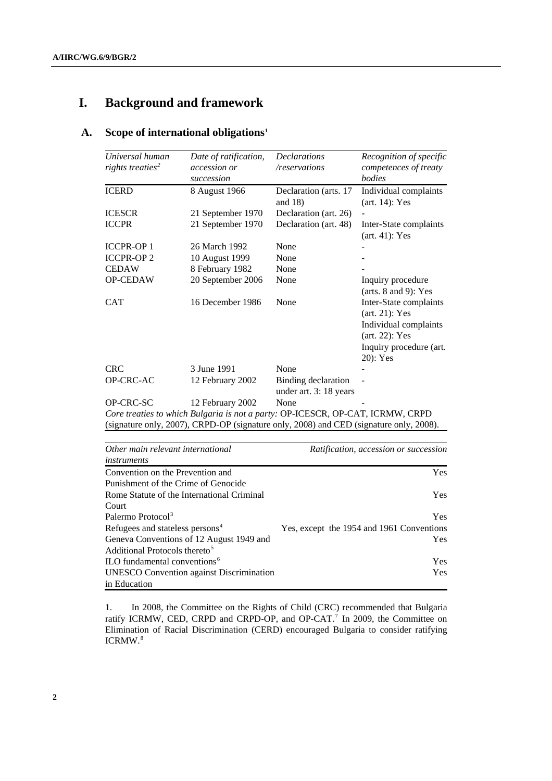# **I. Background and framework**

## **A. Scope of international obligations[1](#page-16-0)**

| Universal human<br>rights treaties <sup>2</sup> | Date of ratification,<br><i>accession or</i><br>succession | <b>Declarations</b><br>/reservations                                                                                                                                     | Recognition of specific<br>competences of treaty<br><i>bodies</i>                                                                |
|-------------------------------------------------|------------------------------------------------------------|--------------------------------------------------------------------------------------------------------------------------------------------------------------------------|----------------------------------------------------------------------------------------------------------------------------------|
| <b>ICERD</b>                                    | 8 August 1966                                              | Declaration (arts. 17<br>and $18$ )                                                                                                                                      | Individual complaints<br>$(art. 14)$ : Yes                                                                                       |
| <b>ICESCR</b>                                   | 21 September 1970                                          | Declaration (art. 26)                                                                                                                                                    |                                                                                                                                  |
| <b>ICCPR</b>                                    | 21 September 1970                                          | Declaration (art. 48)                                                                                                                                                    | Inter-State complaints<br>$(art. 41)$ : Yes                                                                                      |
| <b>ICCPR-OP1</b>                                | 26 March 1992                                              | None                                                                                                                                                                     |                                                                                                                                  |
| <b>ICCPR-OP2</b>                                | 10 August 1999                                             | None                                                                                                                                                                     |                                                                                                                                  |
| <b>CEDAW</b>                                    | 8 February 1982                                            | None                                                                                                                                                                     |                                                                                                                                  |
| OP-CEDAW                                        | 20 September 2006                                          | None                                                                                                                                                                     | Inquiry procedure<br>(arts. $8$ and $9$ ): Yes                                                                                   |
| <b>CAT</b>                                      | 16 December 1986                                           | None                                                                                                                                                                     | Inter-State complaints<br>$(art. 21)$ : Yes<br>Individual complaints<br>$(art. 22)$ : Yes<br>Inquiry procedure (art.<br>20): Yes |
| <b>CRC</b>                                      | 3 June 1991                                                | None                                                                                                                                                                     |                                                                                                                                  |
| OP-CRC-AC                                       | 12 February 2002                                           | Binding declaration<br>under art. 3: 18 years                                                                                                                            |                                                                                                                                  |
| <b>OP-CRC-SC</b>                                | 12 February 2002                                           | None                                                                                                                                                                     |                                                                                                                                  |
|                                                 |                                                            | Core treaties to which Bulgaria is not a party: OP-ICESCR, OP-CAT, ICRMW, CRPD<br>(signature only, 2007), CRPD-OP (signature only, 2008) and CED (signature only, 2008). |                                                                                                                                  |

| Other main relevant international               | Ratification, accession or succession     |  |
|-------------------------------------------------|-------------------------------------------|--|
| instruments                                     |                                           |  |
| Convention on the Prevention and                | <b>Yes</b>                                |  |
| Punishment of the Crime of Genocide             |                                           |  |
| Rome Statute of the International Criminal      | <b>Yes</b>                                |  |
| Court                                           |                                           |  |
| Palermo Protocol <sup>3</sup>                   | <b>Yes</b>                                |  |
| Refugees and stateless persons <sup>4</sup>     | Yes, except the 1954 and 1961 Conventions |  |
| Geneva Conventions of 12 August 1949 and        | <b>Yes</b>                                |  |
| Additional Protocols thereto <sup>5</sup>       |                                           |  |
| ILO fundamental conventions <sup>6</sup>        | <b>Yes</b>                                |  |
| <b>UNESCO</b> Convention against Discrimination | Yes.                                      |  |
| in Education                                    |                                           |  |

1. In 2008, the Committee on the Rights of Child (CRC) recommended that Bulgaria ratify ICRMW, CED, CRPD and CRPD-OP, and OP-CAT.<sup>[7](#page-16-1)</sup> In 2009, the Committee on Elimination of Racial Discrimination (CERD) encouraged Bulgaria to consider ratifying ICRMW.[8](#page-16-1)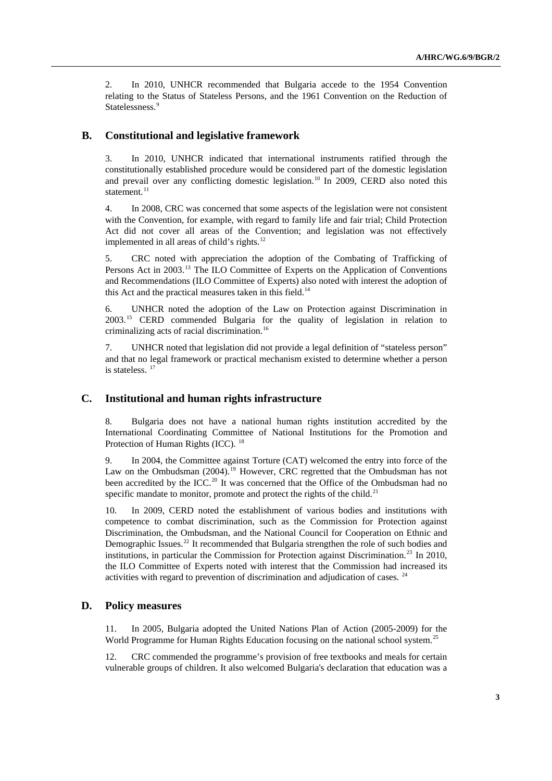2. In 2010, UNHCR recommended that Bulgaria accede to the 1954 Convention relating to the Status of Stateless Persons, and the 1961 Convention on the Reduction of Statelessness.<sup>[9](#page-16-1)</sup>

### **B. Constitutional and legislative framework**

3. In 2010, UNHCR indicated that international instruments ratified through the constitutionally established procedure would be considered part of the domestic legislation and prevail over any conflicting domestic legislation.<sup>[10](#page-16-1)</sup> In 2009, CERD also noted this statement. $^{11}$  $^{11}$  $^{11}$ 

4. In 2008, CRC was concerned that some aspects of the legislation were not consistent with the Convention, for example, with regard to family life and fair trial; Child Protection Act did not cover all areas of the Convention; and legislation was not effectively implemented in all areas of child's rights.<sup>[12](#page-16-1)</sup>

5. CRC noted with appreciation the adoption of the Combating of Trafficking of Persons Act in 2003.[13](#page-16-1) The ILO Committee of Experts on the Application of Conventions and Recommendations (ILO Committee of Experts) also noted with interest the adoption of this Act and the practical measures taken in this field.<sup>[14](#page-16-1)</sup>

6. UNHCR noted the adoption of the Law on Protection against Discrimination in 2003.[15](#page-16-1) CERD commended Bulgaria for the quality of legislation in relation to criminalizing acts of racial discrimination.[16](#page-16-1)

7. UNHCR noted that legislation did not provide a legal definition of "stateless person" and that no legal framework or practical mechanism existed to determine whether a person is stateless.<sup>[17](#page-16-1)</sup>

### **C. Institutional and human rights infrastructure**

8. Bulgaria does not have a national human rights institution accredited by the International Coordinating Committee of National Institutions for the Promotion and Protection of Human Rights (ICC). <sup>[18](#page-16-1)</sup>

9. In 2004, the Committee against Torture (CAT) welcomed the entry into force of the Law on the Ombudsman (2004).<sup>[19](#page-16-1)</sup> However, CRC regretted that the Ombudsman has not been accredited by the ICC.<sup>[20](#page-16-1)</sup> It was concerned that the Office of the Ombudsman had no specific mandate to monitor, promote and protect the rights of the child.<sup>[21](#page-16-1)</sup>

10. In 2009, CERD noted the establishment of various bodies and institutions with competence to combat discrimination, such as the Commission for Protection against Discrimination, the Ombudsman, and the National Council for Cooperation on Ethnic and Demographic Issues.<sup>[22](#page-16-1)</sup> It recommended that Bulgaria strengthen the role of such bodies and institutions, in particular the Commission for Protection against Discrimination.<sup>[23](#page-16-1)</sup> In 2010, the ILO Committee of Experts noted with interest that the Commission had increased its activities with regard to prevention of discrimination and adjudication of cases. [24](#page-16-1)

## **D. Policy measures**

11. In 2005, Bulgaria adopted the United Nations Plan of Action (2005-2009) for the World Programme for Human Rights Education focusing on the national school system.<sup>[25](#page-16-1)</sup>

12. CRC commended the programme's provision of free textbooks and meals for certain vulnerable groups of children. It also welcomed Bulgaria's declaration that education was a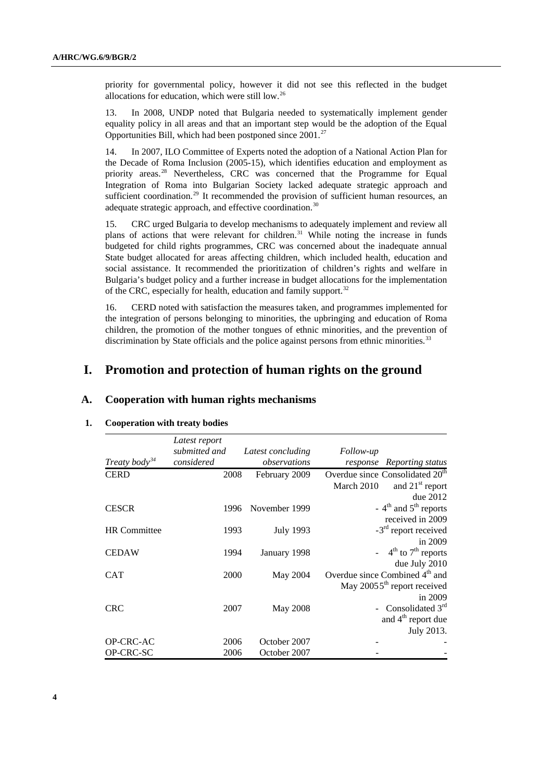priority for governmental policy, however it did not see this reflected in the budget allocations for education, which were still low.[26](#page-16-1)

13. In 2008, UNDP noted that Bulgaria needed to systematically implement gender equality policy in all areas and that an important step would be the adoption of the Equal Opportunities Bill, which had been postponed since 2001.[27](#page-16-1)

14. In 2007, ILO Committee of Experts noted the adoption of a National Action Plan for the Decade of Roma Inclusion (2005-15), which identifies education and employment as priority areas.<sup>[28](#page-16-1)</sup> Nevertheless, CRC was concerned that the Programme for Equal Integration of Roma into Bulgarian Society lacked adequate strategic approach and sufficient coordination.<sup>[29](#page-16-1)</sup> It recommended the provision of sufficient human resources, an adequate strategic approach, and effective coordination.<sup>30</sup>

15. CRC urged Bulgaria to develop mechanisms to adequately implement and review all plans of actions that were relevant for children.<sup>[31](#page-16-1)</sup> While noting the increase in funds budgeted for child rights programmes, CRC was concerned about the inadequate annual State budget allocated for areas affecting children, which included health, education and social assistance. It recommended the prioritization of children's rights and welfare in Bulgaria's budget policy and a further increase in budget allocations for the implementation of the CRC, especially for health, education and family support.<sup>[32](#page-16-1)</sup>

16. CERD noted with satisfaction the measures taken, and programmes implemented for the integration of persons belonging to minorities, the upbringing and education of Roma children, the promotion of the mother tongues of ethnic minorities, and the prevention of discrimination by State officials and the police against persons from ethnic minorities.<sup>[33](#page-16-1)</sup>

## **I. Promotion and protection of human rights on the ground**

### **A. Cooperation with human rights mechanisms**

### **1. Cooperation with treaty bodies**

|                           | Latest report |                   |                                               |
|---------------------------|---------------|-------------------|-----------------------------------------------|
|                           | submitted and | Latest concluding | <i>Follow-up</i>                              |
| Treaty body <sup>34</sup> | considered    | observations      | response Reporting status                     |
| <b>CERD</b>               | 2008          | February 2009     | Overdue since Consolidated 20 <sup>th</sup>   |
|                           |               |                   | and 21 <sup>st</sup> report<br>March 2010     |
|                           |               |                   | due 2012                                      |
| <b>CESCR</b>              | 1996          | November 1999     | - $4th$ and $5th$ reports                     |
|                           |               |                   | received in 2009                              |
| <b>HR</b> Committee       | 1993          | <b>July 1993</b>  | $-3rd$ report received                        |
|                           |               |                   | in $2009$                                     |
| <b>CEDAW</b>              | 1994          | January 1998      | $-4$ <sup>th</sup> to 7 <sup>th</sup> reports |
|                           |               |                   | due July 2010                                 |
| <b>CAT</b>                | 2000          | May 2004          | Overdue since Combined 4 <sup>th</sup> and    |
|                           |               |                   | May 20055 <sup>th</sup> report received       |
|                           |               |                   | in 2009                                       |
| <b>CRC</b>                | 2007          | May 2008          | - Consolidated 3rd                            |
|                           |               |                   | and 4 <sup>th</sup> report due                |
|                           |               |                   | July 2013.                                    |
| OP-CRC-AC                 | 2006          | October 2007      |                                               |
| OP-CRC-SC                 | 2006          | October 2007      |                                               |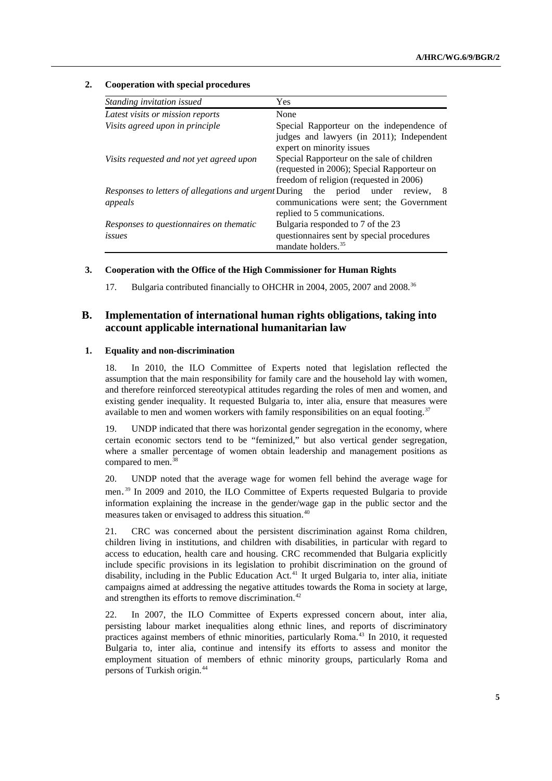#### **2. Cooperation with special procedures**

| Standing invitation issued                                                  | <b>Yes</b>                                                                                                                          |
|-----------------------------------------------------------------------------|-------------------------------------------------------------------------------------------------------------------------------------|
| Latest visits or mission reports                                            | None                                                                                                                                |
| Visits agreed upon in principle                                             | Special Rapporteur on the independence of                                                                                           |
|                                                                             | judges and lawyers (in 2011); Independent<br>expert on minority issues                                                              |
| Visits requested and not yet agreed upon                                    | Special Rapporteur on the sale of children<br>(requested in 2006); Special Rapporteur on<br>freedom of religion (requested in 2006) |
| <i>Responses to letters of allegations and urgent During</i> the<br>appeals | period under<br>-8<br>review.<br>communications were sent; the Government<br>replied to 5 communications.                           |
| Responses to questionnaires on thematic<br>issues                           | Bulgaria responded to 7 of the 23<br>questionnaires sent by special procedures<br>mandate holders. <sup>35</sup>                    |

#### **3. Cooperation with the Office of the High Commissioner for Human Rights**

17. Bulgaria contributed financially to OHCHR in 2004, 2005, 2007 and 2008.<sup>[36](#page-16-1)</sup>

## **B. Implementation of international human rights obligations, taking into account applicable international humanitarian law**

#### **1. Equality and non-discrimination**

18. In 2010, the ILO Committee of Experts noted that legislation reflected the assumption that the main responsibility for family care and the household lay with women, and therefore reinforced stereotypical attitudes regarding the roles of men and women, and existing gender inequality. It requested Bulgaria to, inter alia, ensure that measures were available to men and women workers with family responsibilities on an equal footing.<sup>[37](#page-16-1)</sup>

19. UNDP indicated that there was horizontal gender segregation in the economy, where certain economic sectors tend to be "feminized," but also vertical gender segregation, where a smaller percentage of women obtain leadership and management positions as compared to men. $38$ 

20. UNDP noted that the average wage for women fell behind the average wage for men.[39](#page-16-1) In 2009 and 2010, the ILO Committee of Experts requested Bulgaria to provide information explaining the increase in the gender/wage gap in the public sector and the measures taken or envisaged to address this situation.[40](#page-16-1)

21. CRC was concerned about the persistent discrimination against Roma children, children living in institutions, and children with disabilities, in particular with regard to access to education, health care and housing. CRC recommended that Bulgaria explicitly include specific provisions in its legislation to prohibit discrimination on the ground of disability, including in the Public Education Act.<sup>[41](#page-16-1)</sup> It urged Bulgaria to, inter alia, initiate campaigns aimed at addressing the negative attitudes towards the Roma in society at large, and strengthen its efforts to remove discrimination.<sup>[42](#page-16-1)</sup>

22. In 2007, the ILO Committee of Experts expressed concern about, inter alia, persisting labour market inequalities along ethnic lines, and reports of discriminatory practices against members of ethnic minorities, particularly Roma.<sup>[43](#page-16-1)</sup> In 2010, it requested Bulgaria to, inter alia, continue and intensify its efforts to assess and monitor the employment situation of members of ethnic minority groups, particularly Roma and persons of Turkish origin.[44](#page-16-1)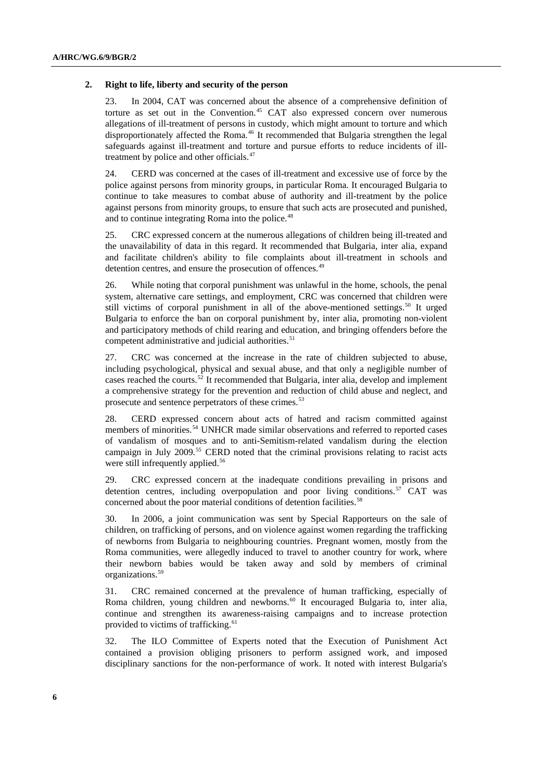#### **2. Right to life, liberty and security of the person**

23. In 2004, CAT was concerned about the absence of a comprehensive definition of torture as set out in the Convention.[45](#page-16-1) CAT also expressed concern over numerous allegations of ill-treatment of persons in custody, which might amount to torture and which disproportionately affected the Roma.<sup>[46](#page-16-1)</sup> It recommended that Bulgaria strengthen the legal safeguards against ill-treatment and torture and pursue efforts to reduce incidents of ill-treatment by police and other officials.<sup>[47](#page-16-1)</sup>

24. CERD was concerned at the cases of ill-treatment and excessive use of force by the police against persons from minority groups, in particular Roma. It encouraged Bulgaria to continue to take measures to combat abuse of authority and ill-treatment by the police against persons from minority groups, to ensure that such acts are prosecuted and punished, and to continue integrating Roma into the police.<sup>[48](#page-16-1)</sup>

25. CRC expressed concern at the numerous allegations of children being ill-treated and the unavailability of data in this regard. It recommended that Bulgaria, inter alia, expand and facilitate children's ability to file complaints about ill-treatment in schools and detention centres, and ensure the prosecution of offences.<sup>[49](#page-16-1)</sup>

26. While noting that corporal punishment was unlawful in the home, schools, the penal system, alternative care settings, and employment, CRC was concerned that children were still victims of corporal punishment in all of the above-mentioned settings.<sup>[50](#page-16-1)</sup> It urged Bulgaria to enforce the ban on corporal punishment by, inter alia, promoting non-violent and participatory methods of child rearing and education, and bringing offenders before the competent administrative and judicial authorities.<sup>[51](#page-16-1)</sup>

27. CRC was concerned at the increase in the rate of children subjected to abuse, including psychological, physical and sexual abuse, and that only a negligible number of cases reached the courts.<sup>[52](#page-16-1)</sup> It recommended that Bulgaria, inter alia, develop and implement a comprehensive strategy for the prevention and reduction of child abuse and neglect, and prosecute and sentence perpetrators of these crimes.<sup>[53](#page-16-1)</sup>

28. CERD expressed concern about acts of hatred and racism committed against members of minorities.<sup>[54](#page-16-1)</sup> UNHCR made similar observations and referred to reported cases of vandalism of mosques and to anti-Semitism-related vandalism during the election campaign in July 2009.<sup>[55](#page-16-1)</sup> CERD noted that the criminal provisions relating to racist acts were still infrequently applied.<sup>[56](#page-16-1)</sup>

29. CRC expressed concern at the inadequate conditions prevailing in prisons and detention centres, including overpopulation and poor living conditions.<sup>[57](#page-16-1)</sup> CAT was concerned about the poor material conditions of detention facilities.<sup>[58](#page-16-1)</sup>

30. In 2006, a joint communication was sent by Special Rapporteurs on the sale of children, on trafficking of persons, and on violence against women regarding the trafficking of newborns from Bulgaria to neighbouring countries. Pregnant women, mostly from the Roma communities, were allegedly induced to travel to another country for work, where their newborn babies would be taken away and sold by members of criminal organizations.[59](#page-16-1)

31. CRC remained concerned at the prevalence of human trafficking, especially of Roma children, young children and newborns.<sup>[60](#page-16-1)</sup> It encouraged Bulgaria to, inter alia, continue and strengthen its awareness-raising campaigns and to increase protection provided to victims of trafficking.<sup>[61](#page-16-1)</sup>

32. The ILO Committee of Experts noted that the Execution of Punishment Act contained a provision obliging prisoners to perform assigned work, and imposed disciplinary sanctions for the non-performance of work. It noted with interest Bulgaria's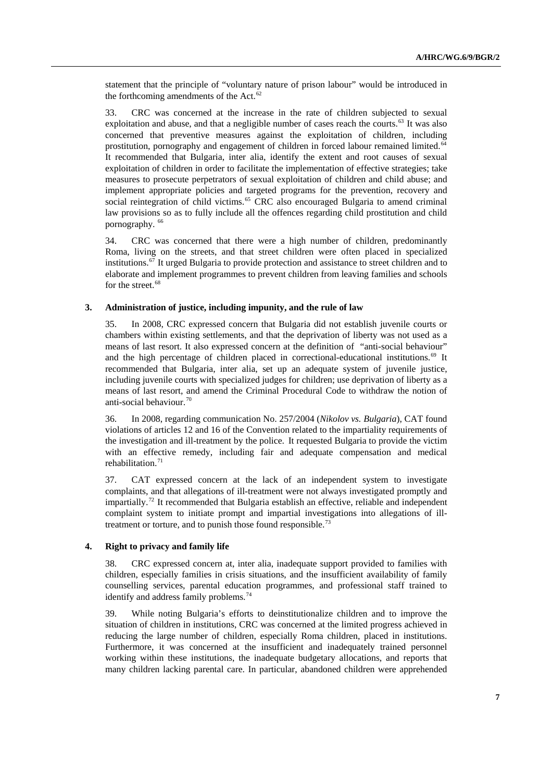statement that the principle of "voluntary nature of prison labour" would be introduced in the forthcoming amendments of the Act. $62$ 

33. CRC was concerned at the increase in the rate of children subjected to sexual exploitation and abuse, and that a negligible number of cases reach the courts.<sup>[63](#page-16-1)</sup> It was also concerned that preventive measures against the exploitation of children, including prostitution, pornography and engagement of children in forced labour remained limited.<sup>[64](#page-16-1)</sup> It recommended that Bulgaria, inter alia, identify the extent and root causes of sexual exploitation of children in order to facilitate the implementation of effective strategies; take measures to prosecute perpetrators of sexual exploitation of children and child abuse; and implement appropriate policies and targeted programs for the prevention, recovery and social reintegration of child victims.<sup>[65](#page-16-1)</sup> CRC also encouraged Bulgaria to amend criminal law provisions so as to fully include all the offences regarding child prostitution and child pornography.<sup>[66](#page-16-1)</sup>

34. CRC was concerned that there were a high number of children, predominantly Roma, living on the streets, and that street children were often placed in specialized institutions.[67](#page-16-1) It urged Bulgaria to provide protection and assistance to street children and to elaborate and implement programmes to prevent children from leaving families and schools for the street.<sup>[68](#page-16-1)</sup>

#### **3. Administration of justice, including impunity, and the rule of law**

35. In 2008, CRC expressed concern that Bulgaria did not establish juvenile courts or chambers within existing settlements, and that the deprivation of liberty was not used as a means of last resort. It also expressed concern at the definition of "anti-social behaviour" and the high percentage of children placed in correctional-educational institutions.<sup>[69](#page-16-1)</sup> It recommended that Bulgaria, inter alia, set up an adequate system of juvenile justice, including juvenile courts with specialized judges for children; use deprivation of liberty as a means of last resort, and amend the Criminal Procedural Code to withdraw the notion of anti-social behaviour.[70](#page-16-1)

36. In 2008, regarding communication No. 257/2004 (*Nikolov vs. Bulgaria*), CAT found violations of articles 12 and 16 of the Convention related to the impartiality requirements of the investigation and ill-treatment by the police. It requested Bulgaria to provide the victim with an effective remedy, including fair and adequate compensation and medical rehabilitation.<sup>[71](#page-16-1)</sup>

37. CAT expressed concern at the lack of an independent system to investigate complaints, and that allegations of ill-treatment were not always investigated promptly and impartially.[72](#page-16-1) It recommended that Bulgaria establish an effective, reliable and independent complaint system to initiate prompt and impartial investigations into allegations of ill-treatment or torture, and to punish those found responsible.<sup>[73](#page-16-1)</sup>

#### **4. Right to privacy and family life**

38. CRC expressed concern at, inter alia, inadequate support provided to families with children, especially families in crisis situations, and the insufficient availability of family counselling services, parental education programmes, and professional staff trained to identify and address family problems.<sup>[74](#page-16-1)</sup>

39. While noting Bulgaria's efforts to deinstitutionalize children and to improve the situation of children in institutions, CRC was concerned at the limited progress achieved in reducing the large number of children, especially Roma children, placed in institutions. Furthermore, it was concerned at the insufficient and inadequately trained personnel working within these institutions, the inadequate budgetary allocations, and reports that many children lacking parental care. In particular, abandoned children were apprehended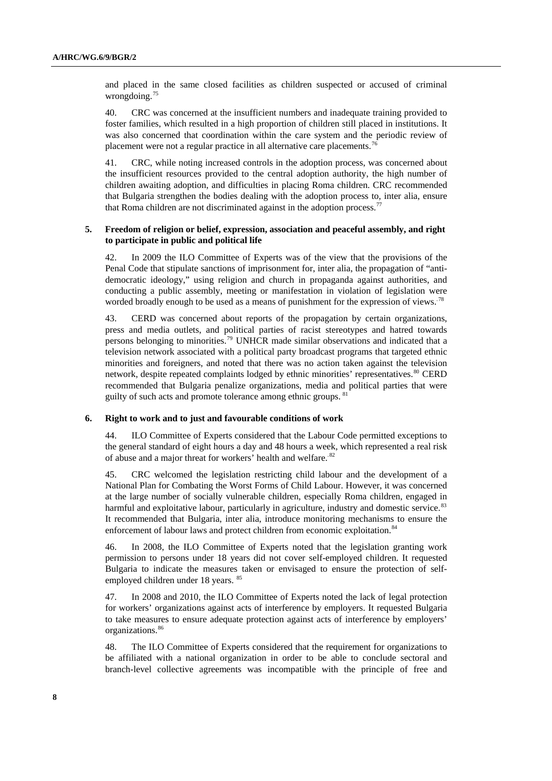and placed in the same closed facilities as children suspected or accused of criminal wrongdoing.<sup>[75](#page-16-1)</sup>

40. CRC was concerned at the insufficient numbers and inadequate training provided to foster families, which resulted in a high proportion of children still placed in institutions. It was also concerned that coordination within the care system and the periodic review of placement were not a regular practice in all alternative care placements.[76](#page-16-1)

41. CRC, while noting increased controls in the adoption process, was concerned about the insufficient resources provided to the central adoption authority, the high number of children awaiting adoption, and difficulties in placing Roma children. CRC recommended that Bulgaria strengthen the bodies dealing with the adoption process to, inter alia, ensure that Roma children are not discriminated against in the adoption process.<sup>7</sup>

### **5. Freedom of religion or belief, expression, association and peaceful assembly, and right to participate in public and political life**

42. In 2009 the ILO Committee of Experts was of the view that the provisions of the Penal Code that stipulate sanctions of imprisonment for, inter alia, the propagation of "antidemocratic ideology," using religion and church in propaganda against authorities, and conducting a public assembly, meeting or manifestation in violation of legislation were worded broadly enough to be used as a means of punishment for the expression of views.<sup>[78](#page-16-1)</sup>

43. CERD was concerned about reports of the propagation by certain organizations, press and media outlets, and political parties of racist stereotypes and hatred towards persons belonging to minorities.<sup>[79](#page-16-1)</sup> UNHCR made similar observations and indicated that a television network associated with a political party broadcast programs that targeted ethnic minorities and foreigners, and noted that there was no action taken against the television network, despite repeated complaints lodged by ethnic minorities' representatives.<sup>[80](#page-16-1)</sup> CERD recommended that Bulgaria penalize organizations, media and political parties that were guilty of such acts and promote tolerance among ethnic groups.<sup>8</sup>

#### **6. Right to work and to just and favourable conditions of work**

44. ILO Committee of Experts considered that the Labour Code permitted exceptions to the general standard of eight hours a day and 48 hours a week, which represented a real risk of abuse and a major threat for workers' health and welfare.<sup>[82](#page-16-1)</sup>

45. CRC welcomed the legislation restricting child labour and the development of a National Plan for Combating the Worst Forms of Child Labour. However, it was concerned at the large number of socially vulnerable children, especially Roma children, engaged in harmful and exploitative labour, particularly in agriculture, industry and domestic service.<sup>[83](#page-16-1)</sup> It recommended that Bulgaria, inter alia, introduce monitoring mechanisms to ensure the enforcement of labour laws and protect children from economic exploitation.<sup>[84](#page-16-1)</sup>

46. In 2008, the ILO Committee of Experts noted that the legislation granting work permission to persons under 18 years did not cover self-employed children. It requested Bulgaria to indicate the measures taken or envisaged to ensure the protection of self-employed children under 18 years. <sup>[85](#page-16-1)</sup>

47. In 2008 and 2010, the ILO Committee of Experts noted the lack of legal protection for workers' organizations against acts of interference by employers. It requested Bulgaria to take measures to ensure adequate protection against acts of interference by employers' organizations.<sup>[86](#page-16-1)</sup>

48. The ILO Committee of Experts considered that the requirement for organizations to be affiliated with a national organization in order to be able to conclude sectoral and branch-level collective agreements was incompatible with the principle of free and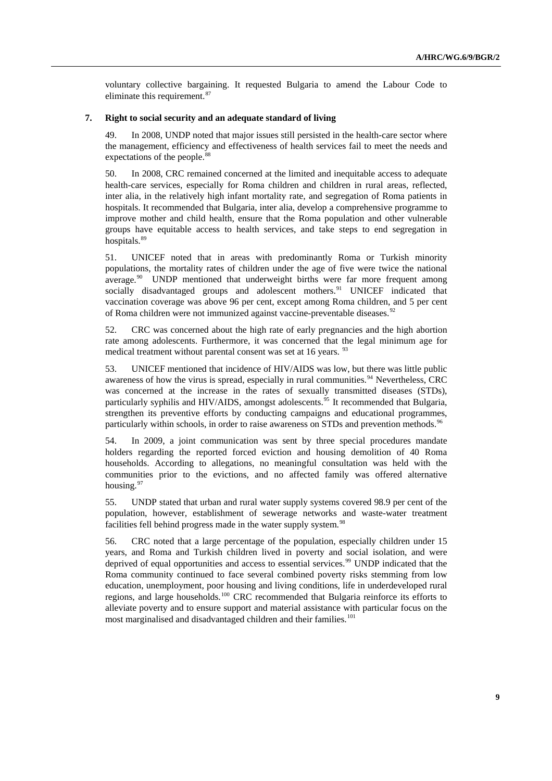voluntary collective bargaining. It requested Bulgaria to amend the Labour Code to eliminate this requirement.<sup>[87](#page-16-1)</sup>

#### **7. Right to social security and an adequate standard of living**

49. In 2008, UNDP noted that major issues still persisted in the health-care sector where the management, efficiency and effectiveness of health services fail to meet the needs and expectations of the people.<sup>[88](#page-16-1)</sup>

50. In 2008, CRC remained concerned at the limited and inequitable access to adequate health-care services, especially for Roma children and children in rural areas, reflected, inter alia, in the relatively high infant mortality rate, and segregation of Roma patients in hospitals. It recommended that Bulgaria, inter alia, develop a comprehensive programme to improve mother and child health, ensure that the Roma population and other vulnerable groups have equitable access to health services, and take steps to end segregation in hospitals.<sup>[89](#page-16-1)</sup>

51. UNICEF noted that in areas with predominantly Roma or Turkish minority populations, the mortality rates of children under the age of five were twice the national average. $90\degree$  $90\degree$  UNDP mentioned that underweight births were far more frequent among socially disadvantaged groups and adolescent mothers.<sup>[91](#page-16-1)</sup> UNICEF indicated that vaccination coverage was above 96 per cent, except among Roma children, and 5 per cent of Roma children were not immunized against vaccine-preventable diseases.<sup>[92](#page-16-1)</sup>

52. CRC was concerned about the high rate of early pregnancies and the high abortion rate among adolescents. Furthermore, it was concerned that the legal minimum age for medical treatment without parental consent was set at 16 years. <sup>[93](#page-16-1)</sup>

53. UNICEF mentioned that incidence of HIV/AIDS was low, but there was little public awareness of how the virus is spread, especially in rural communities.<sup>[94](#page-16-1)</sup> Nevertheless, CRC was concerned at the increase in the rates of sexually transmitted diseases (STDs), particularly syphilis and HIV/AIDS, amongst adolescents.<sup>[95](#page-16-1)</sup> It recommended that Bulgaria, strengthen its preventive efforts by conducting campaigns and educational programmes, particularly within schools, in order to raise awareness on STDs and prevention methods.<sup>[96](#page-16-1)</sup>

54. In 2009, a joint communication was sent by three special procedures mandate holders regarding the reported forced eviction and housing demolition of 40 Roma households. According to allegations, no meaningful consultation was held with the communities prior to the evictions, and no affected family was offered alternative housing.<sup>[97](#page-16-1)</sup>

55. UNDP stated that urban and rural water supply systems covered 98.9 per cent of the population, however, establishment of sewerage networks and waste-water treatment facilities fell behind progress made in the water supply system.<sup>[98](#page-16-1)</sup>

56. CRC noted that a large percentage of the population, especially children under 15 years, and Roma and Turkish children lived in poverty and social isolation, and were deprived of equal opportunities and access to essential services.<sup>[99](#page-16-1)</sup> UNDP indicated that the Roma community continued to face several combined poverty risks stemming from low education, unemployment, poor housing and living conditions, life in underdeveloped rural regions, and large households.[100](#page-16-1) CRC recommended that Bulgaria reinforce its efforts to alleviate poverty and to ensure support and material assistance with particular focus on the most marginalised and disadvantaged children and their families.<sup>[101](#page-16-1)</sup>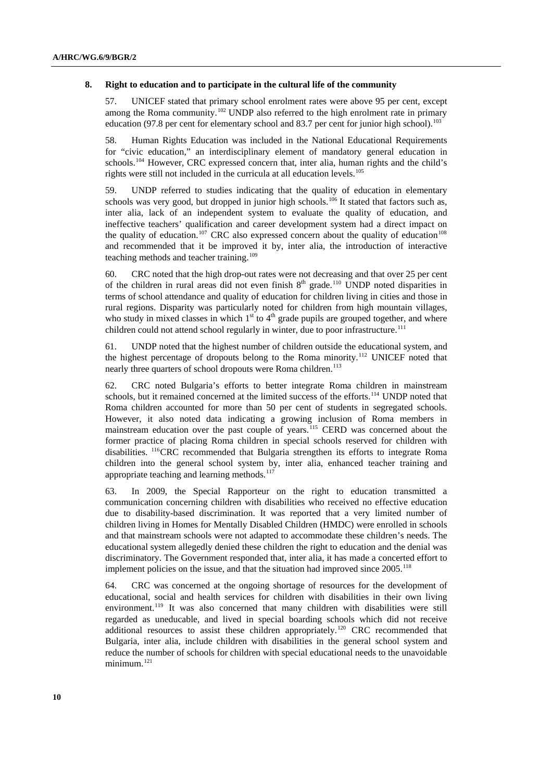#### **8. Right to education and to participate in the cultural life of the community**

57. UNICEF stated that primary school enrolment rates were above 95 per cent, except among the Roma community.<sup>[102](#page-16-1)</sup> UNDP also referred to the high enrolment rate in primary education (97.8 per cent for elementary school and 83.7 per cent for junior high school).<sup>[103](#page-16-1)</sup>

58. Human Rights Education was included in the National Educational Requirements for "civic education," an interdisciplinary element of mandatory general education in schools.<sup>[104](#page-16-1)</sup> However, CRC expressed concern that, inter alia, human rights and the child's rights were still not included in the curricula at all education levels.<sup>[105](#page-16-1)</sup>

59. UNDP referred to studies indicating that the quality of education in elementary schools was very good, but dropped in junior high schools.<sup>[106](#page-16-1)</sup> It stated that factors such as, inter alia, lack of an independent system to evaluate the quality of education, and ineffective teachers' qualification and career development system had a direct impact on the quality of education.<sup>[107](#page-16-1)</sup> CRC also expressed concern about the quality of education<sup>[108](#page-16-1)</sup> and recommended that it be improved it by, inter alia, the introduction of interactive teaching methods and teacher training.<sup>[109](#page-16-1)</sup>

60. CRC noted that the high drop-out rates were not decreasing and that over 25 per cent of the children in rural areas did not even finish  $8<sup>th</sup>$  grade.<sup>[110](#page-16-1)</sup> UNDP noted disparities in terms of school attendance and quality of education for children living in cities and those in rural regions. Disparity was particularly noted for children from high mountain villages, who study in mixed classes in which 1<sup>st</sup> to 4<sup>th</sup> grade pupils are grouped together, and where children could not attend school regularly in winter, due to poor infrastructure.<sup>[111](#page-16-1)</sup>

61. UNDP noted that the highest number of children outside the educational system, and the highest percentage of dropouts belong to the Roma minority.<sup>[112](#page-16-1)</sup> UNICEF noted that nearly three quarters of school dropouts were Roma children.<sup>[113](#page-16-1)</sup>

62. CRC noted Bulgaria's efforts to better integrate Roma children in mainstream schools, but it remained concerned at the limited success of the efforts.<sup>[114](#page-16-1)</sup> UNDP noted that Roma children accounted for more than 50 per cent of students in segregated schools. However, it also noted data indicating a growing inclusion of Roma members in mainstream education over the past couple of years.<sup>[115](#page-16-1)</sup> CERD was concerned about the former practice of placing Roma children in special schools reserved for children with disabilities. [116](#page-16-1)CRC recommended that Bulgaria strengthen its efforts to integrate Roma children into the general school system by, inter alia, enhanced teacher training and appropriate teaching and learning methods.<sup>[117](#page-16-1)</sup>

63. In 2009, the Special Rapporteur on the right to education transmitted a communication concerning children with disabilities who received no effective education due to disability-based discrimination. It was reported that a very limited number of children living in Homes for Mentally Disabled Children (HMDC) were enrolled in schools and that mainstream schools were not adapted to accommodate these children's needs. The educational system allegedly denied these children the right to education and the denial was discriminatory. The Government responded that, inter alia, it has made a concerted effort to implement policies on the issue, and that the situation had improved since 2005[.118](#page-16-1)

64. CRC was concerned at the ongoing shortage of resources for the development of educational, social and health services for children with disabilities in their own living environment.<sup>[119](#page-16-1)</sup> It was also concerned that many children with disabilities were still regarded as uneducable, and lived in special boarding schools which did not receive additional resources to assist these children appropriately.[120](#page-16-1) CRC recommended that Bulgaria, inter alia, include children with disabilities in the general school system and reduce the number of schools for children with special educational needs to the unavoidable minimum.<sup>[121](#page-16-1)</sup>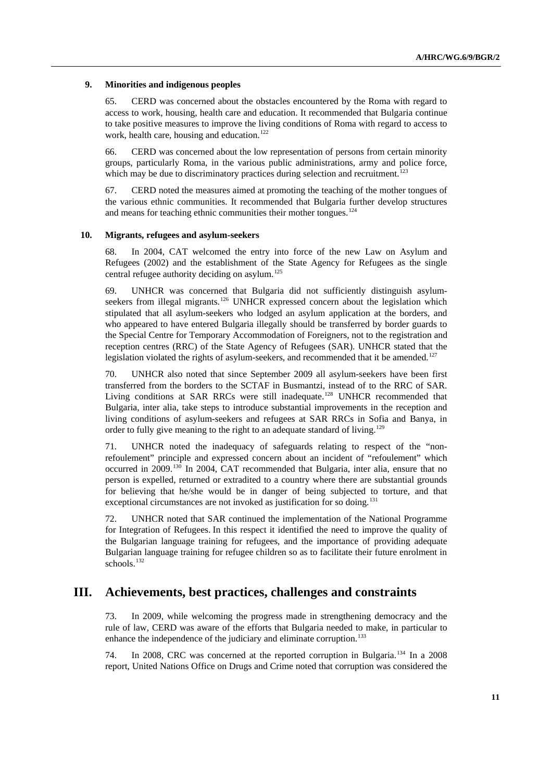#### **9. Minorities and indigenous peoples**

65. CERD was concerned about the obstacles encountered by the Roma with regard to access to work, housing, health care and education. It recommended that Bulgaria continue to take positive measures to improve the living conditions of Roma with regard to access to work, health care, housing and education.<sup>[122](#page-16-1)</sup>

66. CERD was concerned about the low representation of persons from certain minority groups, particularly Roma, in the various public administrations, army and police force, which may be due to discriminatory practices during selection and recruitment.<sup>[123](#page-16-1)</sup>

67. CERD noted the measures aimed at promoting the teaching of the mother tongues of the various ethnic communities. It recommended that Bulgaria further develop structures and means for teaching ethnic communities their mother tongues.<sup>[124](#page-16-1)</sup>

#### **10. Migrants, refugees and asylum-seekers**

68. In 2004, CAT welcomed the entry into force of the new Law on Asylum and Refugees (2002) and the establishment of the State Agency for Refugees as the single central refugee authority deciding on asylum.<sup>[125](#page-16-1)</sup>

69. UNHCR was concerned that Bulgaria did not sufficiently distinguish asylum-seekers from illegal migrants.<sup>[126](#page-16-1)</sup> UNHCR expressed concern about the legislation which stipulated that all asylum-seekers who lodged an asylum application at the borders, and who appeared to have entered Bulgaria illegally should be transferred by border guards to the Special Centre for Temporary Accommodation of Foreigners, not to the registration and reception centres (RRC) of the State Agency of Refugees (SAR). UNHCR stated that the legislation violated the rights of asylum-seekers, and recommended that it be amended.<sup>[127](#page-16-1)</sup>

70. UNHCR also noted that since September 2009 all asylum-seekers have been first transferred from the borders to the SCTAF in Busmantzi, instead of to the RRC of SAR. Living conditions at SAR RRCs were still inadequate.<sup>[128](#page-16-1)</sup> UNHCR recommended that Bulgaria, inter alia, take steps to introduce substantial improvements in the reception and living conditions of asylum-seekers and refugees at SAR RRCs in Sofia and Banya, in order to fully give meaning to the right to an adequate standard of living.<sup>[129](#page-16-1)</sup>

71. UNHCR noted the inadequacy of safeguards relating to respect of the "nonrefoulement" principle and expressed concern about an incident of "refoulement" which occurred in 2009.<sup>[130](#page-16-1)</sup> In 2004, CAT recommended that Bulgaria, inter alia, ensure that no person is expelled, returned or extradited to a country where there are substantial grounds for believing that he/she would be in danger of being subjected to torture, and that exceptional circumstances are not invoked as justification for so doing.<sup>[131](#page-16-1)</sup>

72. UNHCR noted that SAR continued the implementation of the National Programme for Integration of Refugees. In this respect it identified the need to improve the quality of the Bulgarian language training for refugees, and the importance of providing adequate Bulgarian language training for refugee children so as to facilitate their future enrolment in schools.<sup>[132](#page-16-1)</sup>

## **III. Achievements, best practices, challenges and constraints**

73. In 2009, while welcoming the progress made in strengthening democracy and the rule of law, CERD was aware of the efforts that Bulgaria needed to make, in particular to enhance the independence of the judiciary and eliminate corruption.<sup>[133](#page-16-1)</sup>

74. In 2008, CRC was concerned at the reported corruption in Bulgaria.[134](#page-16-1) In a 2008 report, United Nations Office on Drugs and Crime noted that corruption was considered the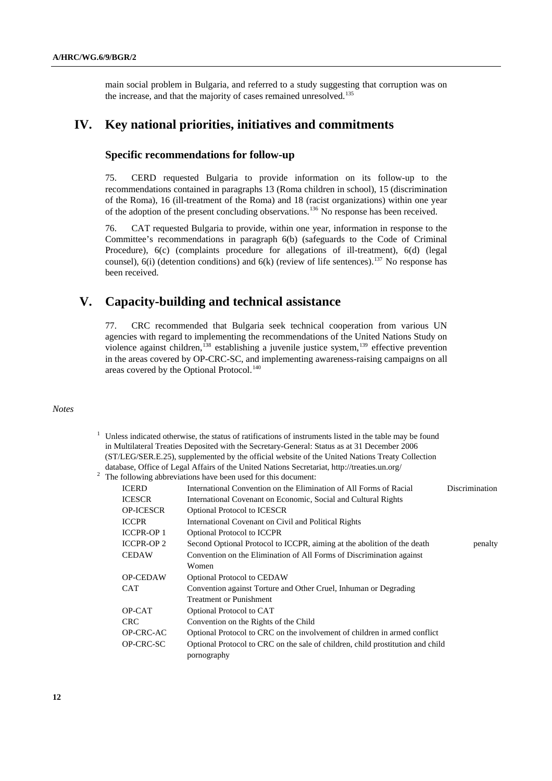main social problem in Bulgaria, and referred to a study suggesting that corruption was on the increase, and that the majority of cases remained unresolved.<sup>[135](#page-16-1)</sup>

## **IV. Key national priorities, initiatives and commitments**

### **Specific recommendations for follow-up**

75. CERD requested Bulgaria to provide information on its follow-up to the recommendations contained in paragraphs 13 (Roma children in school), 15 (discrimination of the Roma), 16 (ill-treatment of the Roma) and 18 (racist organizations) within one year of the adoption of the present concluding observations.[136](#page-16-2) No response has been received.

76. CAT requested Bulgaria to provide, within one year, information in response to the Committee's recommendations in paragraph 6(b) (safeguards to the Code of Criminal Procedure), 6(c) (complaints procedure for allegations of ill-treatment), 6(d) (legal counsel), 6(i) (detention conditions) and 6(k) (review of life sentences).<sup>[137](#page-16-3)</sup> No response has been received.

## **V. Capacity-building and technical assistance**

77. CRC recommended that Bulgaria seek technical cooperation from various UN agencies with regard to implementing the recommendations of the United Nations Study on violence against children,<sup>[138](#page-16-4)</sup> establishing a juvenile justice system, $139$  effective prevention in the areas covered by OP-CRC-SC, and implementing awareness-raising campaigns on all areas covered by the Optional Protocol.<sup>[140](#page-16-6)</sup>

#### *Notes*

 $1$  Unless indicated otherwise, the status of ratifications of instruments listed in the table may be found in Multilateral Treaties Deposited with the Secretary-General: Status as at 31 December 2006 (ST/LEG/SER.E.25), supplemented by the official website of the United Nations Treaty Collection database, Office of Legal Affairs of the United Nations Secretariat, http://treaties.un.org/ 2

| <b>ICERD</b>      | International Convention on the Elimination of All Forms of Racial             | Discrimination |
|-------------------|--------------------------------------------------------------------------------|----------------|
| <b>ICESCR</b>     | International Covenant on Economic, Social and Cultural Rights                 |                |
| <b>OP-ICESCR</b>  | <b>Optional Protocol to ICESCR</b>                                             |                |
| <b>ICCPR</b>      | International Covenant on Civil and Political Rights                           |                |
| <b>ICCPR-OP 1</b> | <b>Optional Protocol to ICCPR</b>                                              |                |
| <b>ICCPR-OP 2</b> | Second Optional Protocol to ICCPR, aiming at the abolition of the death        | penalty        |
| <b>CEDAW</b>      | Convention on the Elimination of All Forms of Discrimination against           |                |
|                   | Women                                                                          |                |
| <b>OP-CEDAW</b>   | <b>Optional Protocol to CEDAW</b>                                              |                |
| CAT               | Convention against Torture and Other Cruel, Inhuman or Degrading               |                |
|                   | <b>Treatment or Punishment</b>                                                 |                |
| OP-CAT            | Optional Protocol to CAT                                                       |                |
| <b>CRC</b>        | Convention on the Rights of the Child                                          |                |
| OP-CRC-AC         | Optional Protocol to CRC on the involvement of children in armed conflict      |                |
| OP-CRC-SC         | Optional Protocol to CRC on the sale of children, child prostitution and child |                |
|                   | pornography                                                                    |                |

<sup>&</sup>lt;sup>2</sup> The following abbreviations have been used for this document: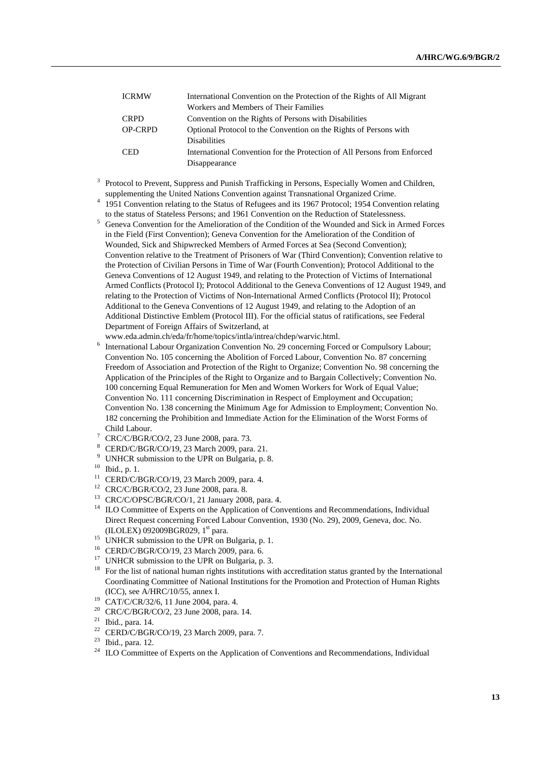| <b>ICRMW</b>   | International Convention on the Protection of the Rights of All Migrant  |  |
|----------------|--------------------------------------------------------------------------|--|
|                | Workers and Members of Their Families                                    |  |
| <b>CRPD</b>    | Convention on the Rights of Persons with Disabilities                    |  |
| <b>OP-CRPD</b> | Optional Protocol to the Convention on the Rights of Persons with        |  |
|                | <b>Disabilities</b>                                                      |  |
| <b>CED</b>     | International Convention for the Protection of All Persons from Enforced |  |
|                | Disappearance                                                            |  |

- 3 <sup>3</sup> Protocol to Prevent, Suppress and Punish Trafficking in Persons, Especially Women and Children, supplementing the United Nations Convention against Transnational Organized Crime. 4
	- <sup>4</sup> 1951 Convention relating to the Status of Refugees and its 1967 Protocol; 1954 Convention relating
	- to the status of Stateless Persons; and 1961 Convention on the Reduction of Statelessness.<br><sup>5</sup> Geneva Convention for the Amelioration of the Condition of the Wounded and Sick in Armed Forces in the Field (First Convention); Geneva Convention for the Amelioration of the Condition of Wounded, Sick and Shipwrecked Members of Armed Forces at Sea (Second Convention); Convention relative to the Treatment of Prisoners of War (Third Convention); Convention relative to the Protection of Civilian Persons in Time of War (Fourth Convention); Protocol Additional to the Geneva Conventions of 12 August 1949, and relating to the Protection of Victims of International Armed Conflicts (Protocol I); Protocol Additional to the Geneva Conventions of 12 August 1949, and relating to the Protection of Victims of Non-International Armed Conflicts (Protocol II); Protocol Additional to the Geneva Conventions of 12 August 1949, and relating to the Adoption of an Additional Distinctive Emblem (Protocol III). For the official status of ratifications, see Federal Department of Foreign Affairs of Switzerland, at

www.eda.admin.ch/eda/fr/home/topics/intla/intrea/chdep/warvic.html.

- International Labour Organization Convention No. 29 concerning Forced or Compulsory Labour; Convention No. 105 concerning the Abolition of Forced Labour, Convention No. 87 concerning Freedom of Association and Protection of the Right to Organize; Convention No. 98 concerning the Application of the Principles of the Right to Organize and to Bargain Collectively; Convention No. 100 concerning Equal Remuneration for Men and Women Workers for Work of Equal Value; Convention No. 111 concerning Discrimination in Respect of Employment and Occupation; Convention No. 138 concerning the Minimum Age for Admission to Employment; Convention No. 182 concerning the Prohibition and Immediate Action for the Elimination of the Worst Forms of Child Labour.
- CRC/C/BGR/CO/2, 23 June 2008, para. 73.
- 8 CERD/C/BGR/CO/19, 23 March 2009, para. 21.
- <sup>9</sup> UNHCR submission to the UPR on Bulgaria, p. 8.
- 10 Ibid., p. 1.
- 11 CERD/C/BGR/CO/19, 23 March 2009, para. 4.
- 12 CRC/C/BGR/CO/2, 23 June 2008, para. 8.
- 13 CRC/C/OPSC/BGR/CO/1, 21 January 2008, para. 4.
- <sup>14</sup> ILO Committee of Experts on the Application of Conventions and Recommendations, Individual Direct Request concerning Forced Labour Convention, 1930 (No. 29), 2009, Geneva, doc. No. (ILOLEX) 092009BGR029,  $1<sup>st</sup>$  para.<br><sup>15</sup> UNHCR submission to the UPR on Bulgaria, p. 1.
- 
- 16 CERD/C/BGR/CO/19, 23 March 2009, para. 6.
- <sup>17</sup> UNHCR submission to the UPR on Bulgaria, p. 3.
- <sup>18</sup> For the list of national human rights institutions with accreditation status granted by the International Coordinating Committee of National Institutions for the Promotion and Protection of Human Rights
- (ICC), see A/HRC/10/55, annex I. 19 CAT/C/CR/32/6, 11 June 2004, para. 4.
- 20 CRC/C/BGR/CO/2, 23 June 2008, para. 14.
- 21 Ibid., para. 14.
- 22 CERD/C/BGR/CO/19, 23 March 2009, para. 7.
- 23 Ibid., para. 12.
- ILO Committee of Experts on the Application of Conventions and Recommendations, Individual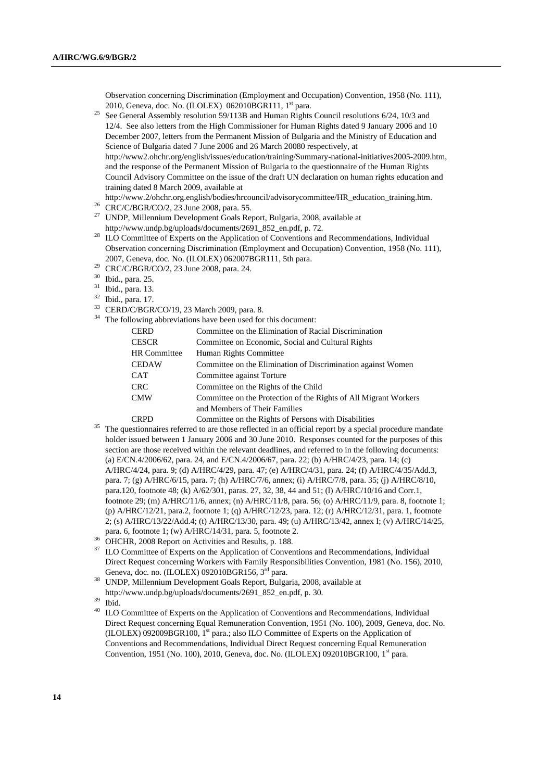Observation concerning Discrimination (Employment and Occupation) Convention, 1958 (No. 111), 2010, Geneva, doc. No. (ILOLEX) 062010BGR111,  $1^{st}$  para.<br><sup>25</sup> See General Assembly resolution 59/113B and Human Rights Council resolutions 6/24, 10/3 and

- 12/4. See also letters from the High Commissioner for Human Rights dated 9 January 2006 and 10 December 2007, letters from the Permanent Mission of Bulgaria and the Ministry of Education and Science of Bulgaria dated 7 June 2006 and 26 March 20080 respectively, at [http://www2.ohchr.org/english/issues/education/training/Summary-national-initiatives2005-2009.htm,](http://www2.ohchr.org/english/issues/education/training/Summary-national-initiatives2005-2009.htm) and the response of the Permanent Mission of Bulgaria to the questionnaire of the Human Rights Council Advisory Committee on the issue of the draft UN declaration on human rights education and training dated 8 March 2009, available at
- [http://www.2/ohchr.org.english/bodies/hrcouncil/advisorycommittee/HR\\_education\\_training.htm.](http://www.2/ohchr.org.english/bodies/hrcouncil/advisorycommittee/HR_education_training.htm) 26 CRC/C/BGR/CO/2, 23 June 2008, para. 55.
- 27 UNDP, Millennium Development Goals Report, Bulgaria, 2008, available at
- http://www.undp.bg/uploads/documents/2691\_852\_en.pdf, p. 72.<br><sup>28</sup> ILO Committee of Experts on the Application of Conventions and Recommendations, Individual Observation concerning Discrimination (Employment and Occupation) Convention, 1958 (No. 111), 2007, Geneva, doc. No. (ILOLEX) 062007BGR111, 5th para. 29 CRC/C/BGR/CO/2, 23 June 2008, para. 24.
- 

30 Ibid., para. 25.

31 Ibid., para. 13.

- 32 Ibid., para. 17.
- 33 CERD/C/BGR/CO/19, 23 March 2009, para. 8.
- <sup>34</sup> The following abbreviations have been used for this document:

| <b>CERD</b>         | Committee on the Elimination of Racial Discrimination            |
|---------------------|------------------------------------------------------------------|
| <b>CESCR</b>        | Committee on Economic, Social and Cultural Rights                |
| <b>HR</b> Committee | Human Rights Committee                                           |
| <b>CEDAW</b>        | Committee on the Elimination of Discrimination against Women     |
| <b>CAT</b>          | Committee against Torture                                        |
| <b>CRC</b>          | Committee on the Rights of the Child                             |
| <b>CMW</b>          | Committee on the Protection of the Rights of All Migrant Workers |
|                     | and Members of Their Families                                    |
| <b>CRPD</b>         | Committee on the Rights of Persons with Disabilities             |

- CRPD Committee on the Rights of Persons with Disabilities<br><sup>35</sup> The questionnaires referred to are those reflected in an official report by a special procedure mandate holder issued between 1 January 2006 and 30 June 2010. Responses counted for the purposes of this section are those received within the relevant deadlines, and referred to in the following documents: (a) E/CN.4/2006/62, para. 24, and E/CN.4/2006/67, para. 22; (b) A/HRC/4/23, para. 14; (c) A/HRC/4/24, para. 9; (d) A/HRC/4/29, para. 47; (e) A/HRC/4/31, para. 24; (f) A/HRC/4/35/Add.3, para. 7; (g) A/HRC/6/15, para. 7; (h) A/HRC/7/6, annex; (i) A/HRC/7/8, para. 35; (j) A/HRC/8/10, para.120, footnote 48; (k) A/62/301, paras. 27, 32, 38, 44 and 51; (l) A/HRC/10/16 and Corr.1, footnote 29; (m) A/HRC/11/6, annex; (n) A/HRC/11/8, para. 56; (o) A/HRC/11/9, para. 8, footnote 1; (p) A/HRC/12/21, para.2, footnote 1; (q) A/HRC/12/23, para. 12; (r) A/HRC/12/31, para. 1, footnote 2; (s) A/HRC/13/22/Add.4; (t) A/HRC/13/30, para. 49; (u) A/HRC/13/42, annex I; (v) A/HRC/14/25,
- para. 6, footnote 1; (w) A/HRC/14/31, para. 5, footnote 2. 36 OHCHR, 2008 Report on Activities and Results, p. 188.
- <sup>37</sup> ILO Committee of Experts on the Application of Conventions and Recommendations, Individual Direct Request concerning Workers with Family Responsibilities Convention, 1981 (No. 156), 2010, Geneva, doc. no. (ILOLEX) 092010BGR156, 3<sup>rd</sup> para.<br><sup>38</sup> UNDP, Millennium Development Goals Report, Bulgaria, 2008, available at
- 
- http://www.undp.bg/uploads/documents/2691\_852\_en.pdf, p. 30. 39 Ibid.

<sup>40</sup> ILO Committee of Experts on the Application of Conventions and Recommendations, Individual Direct Request concerning Equal Remuneration Convention, 1951 (No. 100), 2009, Geneva, doc. No.  $(II OLEX)$  092009BGR100, 1<sup>st</sup> para.; also ILO Committee of Experts on the Application of Conventions and Recommendations, Individual Direct Request concerning Equal Remuneration Convention, 1951 (No. 100), 2010, Geneva, doc. No. (ILOLEX) 092010BGR100, 1<sup>st</sup> para.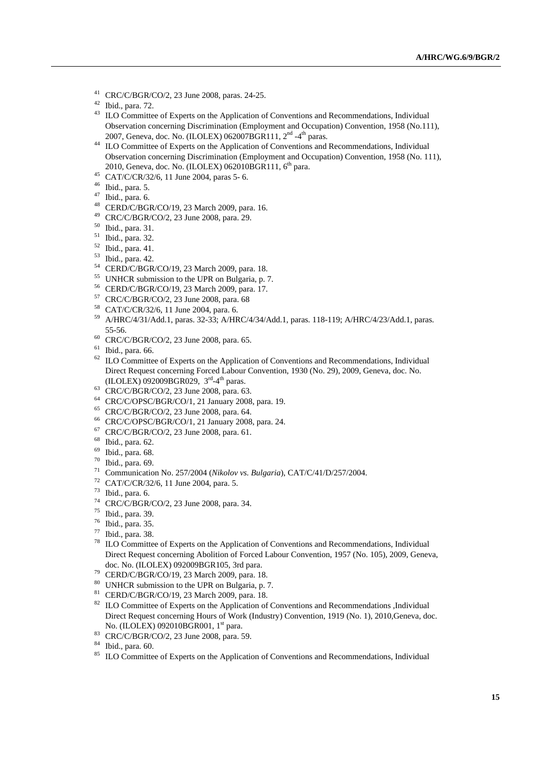- 41 CRC/C/BGR/CO/2, 23 June 2008, paras. 24-25.
- 42 Ibid., para. 72.
- <sup>43</sup> ILO Committee of Experts on the Application of Conventions and Recommendations, Individual Observation concerning Discrimination (Employment and Occupation) Convention, 1958 (No.111),
- 2007, Geneva, doc. No. (ILOLEX) 062007BGR111,  $2<sup>nd</sup>$  -4<sup>th</sup> paras.<br><sup>44</sup> ILO Committee of Experts on the Application of Conventions and Recommendations, Individual Observation concerning Discrimination (Employment and Occupation) Convention, 1958 (No. 111), 2010, Geneva, doc. No. (ILOLEX) 062010BGR111,  $6^{th}$  para.<br>45 CAT/C/CR/32/6, 11 June 2004, paras 5- 6.
- 
- 46 Ibid., para. 5.
- $47$  Ibid., para. 6.
- 48 CERD/C/BGR/CO/19, 23 March 2009, para. 16.
- 49 CRC/C/BGR/CO/2, 23 June 2008, para. 29.
- 50 Ibid., para. 31.
- 51 Ibid., para. 32.
- 52 Ibid., para. 41.
- 53 Ibid., para. 42.
- 54 CERD/C/BGR/CO/19, 23 March 2009, para. 18.
- 55 UNHCR submission to the UPR on Bulgaria, p. 7.
- 56 CERD/C/BGR/CO/19, 23 March 2009, para. 17.
- 57 CRC/C/BGR/CO/2, 23 June 2008, para. 68
- 58 CAT/C/CR/32/6, 11 June 2004, para. 6.
- 59 A/HRC/4/31/Add.1, paras. 32-33; A/HRC/4/34/Add.1, paras. 118-119; A/HRC/4/23/Add.1, paras.
- 55-56. 60 CRC/C/BGR/CO/2, 23 June 2008, para. 65.
- 61 Ibid., para. 66.
- $62$  ILO Committee of Experts on the Application of Conventions and Recommendations, Individual Direct Request concerning Forced Labour Convention, 1930 (No. 29), 2009, Geneva, doc. No. (ILOLEX) 092009BGR029,  $3^{\text{rd}}$ -4<sup>th</sup> paras.
- 63 CRC/C/BGR/CO/2, 23 June 2008, para. 63.
- 64 CRC/C/OPSC/BGR/CO/1, 21 January 2008, para. 19.
- 65 CRC/C/BGR/CO/2, 23 June 2008, para. 64.
- 66 CRC/C/OPSC/BGR/CO/1, 21 January 2008, para. 24.
- 67 CRC/C/BGR/CO/2, 23 June 2008, para. 61.
- 68 Ibid., para. 62.
- 69 Ibid., para. 68.
- 70 Ibid., para. 69.
- 71 Communication No. 257/2004 (*Nikolov vs. Bulgaria*), CAT/C/41/D/257/2004. 72 CAT/C/CR/32/6, 11 June 2004, para. 5.
- 
- $73$  Ibid., para. 6.
- 74 CRC/C/BGR/CO/2, 23 June 2008, para. 34.
- 75 Ibid., para. 39.
- 76 Ibid., para. 35.
- $\frac{77}{78}$  Ibid., para. 38.
- ILO Committee of Experts on the Application of Conventions and Recommendations, Individual Direct Request concerning Abolition of Forced Labour Convention, 1957 (No. 105), 2009, Geneva, doc. No. (ILOLEX) 092009BGR105, 3rd para.<br>CERD/C/BGR/CO/19, 23 March 2009, para. 18.
- 
- 80 UNHCR submission to the UPR on Bulgaria, p. 7.
- 81 CERD/C/BGR/CO/19, 23 March 2009, para. 18.
- <sup>82</sup> ILO Committee of Experts on the Application of Conventions and Recommendations ,Individual Direct Request concerning Hours of Work (Industry) Convention, 1919 (No. 1), 2010,Geneva, doc.
- No. (ILOLEX) 092010BGR001, 1<sup>st</sup> para.<br>CRC/C/BGR/CO/2, 23 June 2008, para. 59.
- 84 Ibid., para. 60.
- <sup>85</sup> ILO Committee of Experts on the Application of Conventions and Recommendations, Individual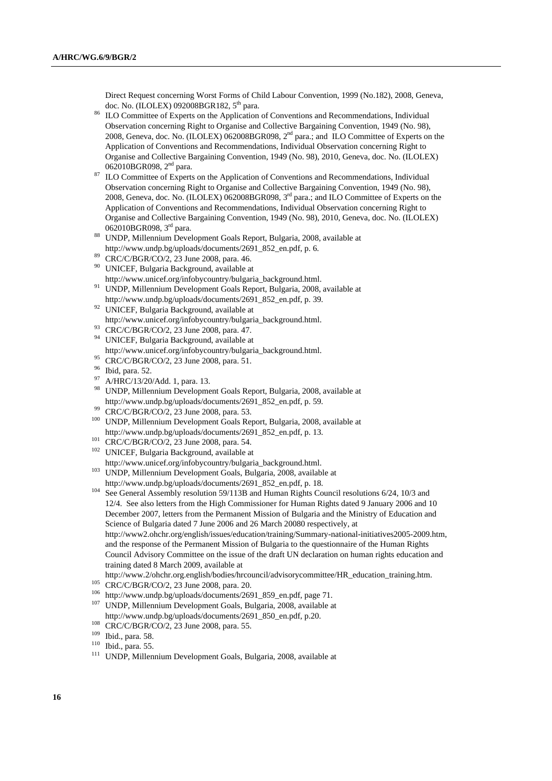Direct Request concerning Worst Forms of Child Labour Convention, 1999 (No.182), 2008, Geneva, doc. No. (ILOLEX) 092008BGR182, 5<sup>th</sup> para.<br>ILO Committee of Experts on the Application of Conventions and Recommendations, Individual

- Observation concerning Right to Organise and Collective Bargaining Convention, 1949 (No. 98), 2008, Geneva, doc. No. (ILOLEX) 062008BGR098, 2nd para.; and ILO Committee of Experts on the Application of Conventions and Recommendations, Individual Observation concerning Right to Organise and Collective Bargaining Convention, 1949 (No. 98), 2010, Geneva, doc. No. (ILOLEX) 062010BGR098,  $2<sup>nd</sup>$  para.<br>ILO Committee of Experts on the Application of Conventions and Recommendations, Individual
- Observation concerning Right to Organise and Collective Bargaining Convention, 1949 (No. 98), 2008, Geneva, doc. No. (ILOLEX) 062008BGR098, 3rd para.; and ILO Committee of Experts on the Application of Conventions and Recommendations, Individual Observation concerning Right to Organise and Collective Bargaining Convention, 1949 (No. 98), 2010, Geneva, doc. No. (ILOLEX)
- 062010BGR098, 3<sup>rd</sup> para. **88** UNDP, Millennium Development Goals Report, Bulgaria, 2008, available at http://www.undp.bg/uploads/documents/2691\_852\_en.pdf, p. 6. 89 CRC/C/BGR/CO/2, 23 June 2008, para. 46.
- 
- 90 UNICEF, Bulgaria Background, available at
- [http://www.unicef.org/infobycountry/bulgaria\\_background.html.](http://www.unicef.org/infobycountry/bulgaria_background.html) 91 UNDP, Millennium Development Goals Report, Bulgaria, 2008, available at
- http://www.undp.bg/uploads/documents/2691\_852\_en.pdf, p. 39. 92 UNICEF, Bulgaria Background, available at
- [http://www.unicef.org/infobycountry/bulgaria\\_background.html.](http://www.unicef.org/infobycountry/bulgaria_background.html) 93 CRC/C/BGR/CO/2, 23 June 2008, para. 47.
- 
- 94 UNICEF, Bulgaria Background, available at [http://www.unicef.org/infobycountry/bulgaria\\_background.html.](http://www.unicef.org/infobycountry/bulgaria_background.html)<br><sup>95</sup> CRC/C/BGR/CO/2, 23 June 2008, para. 51.<br><sup>96</sup> Ibid.nara. 52
- 
- $^{96}$  Ibid, para. 52.
- $^{97}$  A/HRC/13/20/Add. 1, para. 13.
- 98 UNDP, Millennium Development Goals Report, Bulgaria, 2008, available at
- 
- http://www.undp.bg/uploads/documents/2691\_852\_en.pdf, p. 59.<br><sup>99</sup> CRC/C/BGR/CO/2, 23 June 2008, para. 53.<br><sup>100</sup> UNDP, Millennium Development Goals Report, Bulgaria, 2008, available at
- 
- http://www.undp.bg/uploads/documents/2691\_852\_en.pdf, p. 13.<br>
101 CRC/C/BGR/CO/2, 23 June 2008, para. 54.<br>
102 UNICEF, Bulgaria Background, available at<br>
http://www.unicef.org/infobycountry/bulgaria background.html.
- $h^{103}$  UNDP, Millennium Development Goals, Bulgaria, 2008, available at
- http://www.undp.bg/uploads/documents/2691\_852\_en.pdf, p. 18.<br><sup>104</sup> See General Assembly resolution 59/113B and Human Rights Council resolutions 6/24, 10/3 and 12/4. See also letters from the High Commissioner for Human Rights dated 9 January 2006 and 10 December 2007, letters from the Permanent Mission of Bulgaria and the Ministry of Education and Science of Bulgaria dated 7 June 2006 and 26 March 20080 respectively, at [http://www2.ohchr.org/english/issues/education/training/Summary-national-initiatives2005-2009.htm,](http://www2.ohchr.org/english/issues/education/training/Summary-national-initiatives2005-2009.htm) and the response of the Permanent Mission of Bulgaria to the questionnaire of the Human Rights Council Advisory Committee on the issue of the draft UN declaration on human rights education and training dated 8 March 2009, available at
- 
- 
- 
- [http://www.2/ohchr.org.english/bodies/hrcouncil/advisorycommittee/HR\\_education\\_training.htm.](http://www.2/ohchr.org.english/bodies/hrcouncil/advisorycommittee/HR_education_training.htm)<br>
CRC/C/BGR/CO/2, 23 June 2008, para. 20.<br> [http://www.undp.bg/uploads/documents/2691\\_859\\_en.pdf,](http://www.undp.bg/uploads/documents/2691_859_en.pdf) page 71.<br>
<sup>107</sup> UNDP, Millennium
- 
- 

<sup>108</sup> CRC/C/BGR/CO/2, 23 June 2008, para. 55.<br><sup>109</sup> Ibid., para. 58. 110 Ibid., para. 55. 111 UNDP, Millennium Development Goals, Bulgaria, 2008, available at